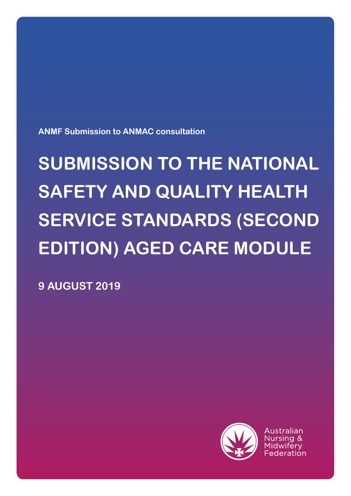

Australian

**9 AUGUST 2019**

# **SUBMISSION TO THE NATIONAL SAFETY AND QUALITY HEALTH SERVICE STANDARDS (SECOND EDITION) AGED CARE MODULE**

**ANMF Submission to ANMAC consultation**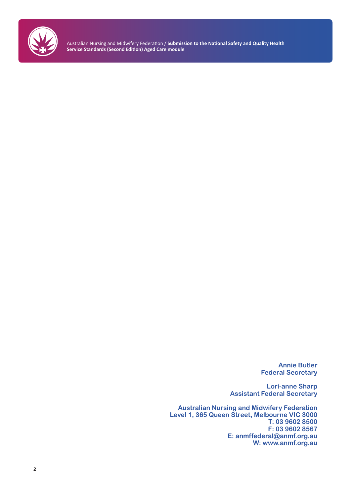

Australian Nursing and Midwifery Federation / **Submission to the National Safety and Quality Health Service Standards (Second Edition) Aged Care module**

> **Annie Butler Federal Secretary**

**Lori-anne Sharp Assistant Federal Secretary**

**Australian Nursing and Midwifery Federation Level 1, 365 Queen Street, Melbourne VIC 3000 T: 03 9602 8500 F: 03 9602 8567 E: anmffederal@anmf.org.au W: www.anmf.org.au**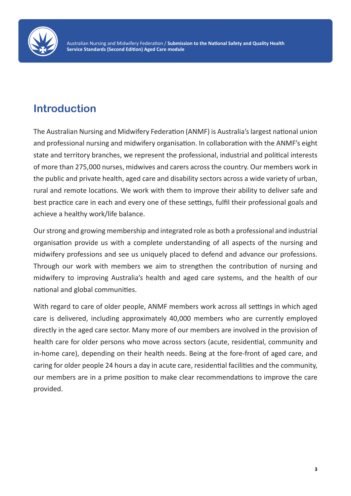

## **Introduction**

The Australian Nursing and Midwifery Federation (ANMF) is Australia's largest national union and professional nursing and midwifery organisation. In collaboration with the ANMF's eight state and territory branches, we represent the professional, industrial and political interests of more than 275,000 nurses, midwives and carers across the country. Our members work in the public and private health, aged care and disability sectors across a wide variety of urban, rural and remote locations. We work with them to improve their ability to deliver safe and best practice care in each and every one of these settings, fulfil their professional goals and achieve a healthy work/life balance.

Our strong and growing membership and integrated role as both a professional and industrial organisation provide us with a complete understanding of all aspects of the nursing and midwifery professions and see us uniquely placed to defend and advance our professions. Through our work with members we aim to strengthen the contribution of nursing and midwifery to improving Australia's health and aged care systems, and the health of our national and global communities.

With regard to care of older people, ANMF members work across all settings in which aged care is delivered, including approximately 40,000 members who are currently employed directly in the aged care sector. Many more of our members are involved in the provision of health care for older persons who move across sectors (acute, residential, community and in-home care), depending on their health needs. Being at the fore-front of aged care, and caring for older people 24 hours a day in acute care, residential facilities and the community, our members are in a prime position to make clear recommendations to improve the care provided.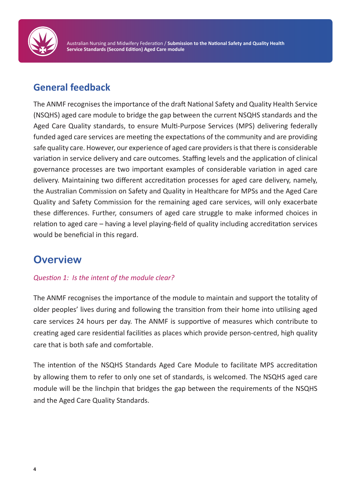

## **General feedback**

The ANMF recognises the importance of the draft National Safety and Quality Health Service (NSQHS) aged care module to bridge the gap between the current NSQHS standards and the Aged Care Quality standards, to ensure Multi-Purpose Services (MPS) delivering federally funded aged care services are meeting the expectations of the community and are providing safe quality care. However, our experience of aged care providers is that there is considerable variation in service delivery and care outcomes. Staffing levels and the application of clinical governance processes are two important examples of considerable variation in aged care delivery. Maintaining two different accreditation processes for aged care delivery, namely, the Australian Commission on Safety and Quality in Healthcare for MPSs and the Aged Care Quality and Safety Commission for the remaining aged care services, will only exacerbate these differences. Further, consumers of aged care struggle to make informed choices in relation to aged care – having a level playing-field of quality including accreditation services would be beneficial in this regard.

## **Overview**

#### *Question 1: Is the intent of the module clear?*

The ANMF recognises the importance of the module to maintain and support the totality of older peoples' lives during and following the transition from their home into utilising aged care services 24 hours per day. The ANMF is supportive of measures which contribute to creating aged care residential facilities as places which provide person-centred, high quality care that is both safe and comfortable.

The intention of the NSQHS Standards Aged Care Module to facilitate MPS accreditation by allowing them to refer to only one set of standards, is welcomed. The NSQHS aged care module will be the linchpin that bridges the gap between the requirements of the NSQHS and the Aged Care Quality Standards.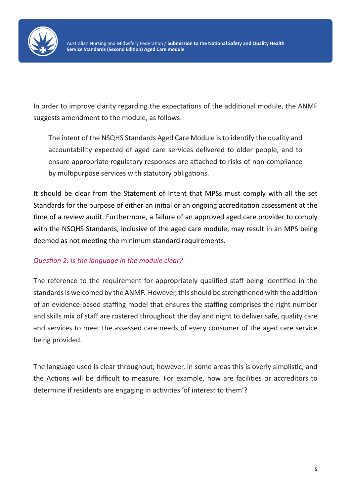

In order to improve clarity regarding the expectations of the additional module, the ANMF suggests amendment to the module, as follows:

The intent of the NSQHS Standards Aged Care Module is to identify the quality and accountability expected of aged care services delivered to older people, and to ensure appropriate regulatory responses are attached to risks of non-compliance by multipurpose services with statutory obligations.

It should be clear from the Statement of Intent that MPSs must comply with all the set Standards for the purpose of either an initial or an ongoing accreditation assessment at the time of a review audit. Furthermore, a failure of an approved aged care provider to comply with the NSQHS Standards, inclusive of the aged care module, may result in an MPS being deemed as not meeting the minimum standard requirements.

#### *Question 2: Is the language in the module clear?*

The reference to the requirement for appropriately qualified staff being identified in the standards is welcomed by the ANMF. However, this should be strengthened with the addition of an evidence-based staffing model that ensures the staffing comprises the right number and skills mix of staff are rostered throughout the day and night to deliver safe, quality care and services to meet the assessed care needs of every consumer of the aged care service being provided.

The language used is clear throughout; however, in some areas this is overly simplistic, and the Actions will be difficult to measure. For example, how are facilities or accreditors to determine if residents are engaging in activities 'of interest to them'?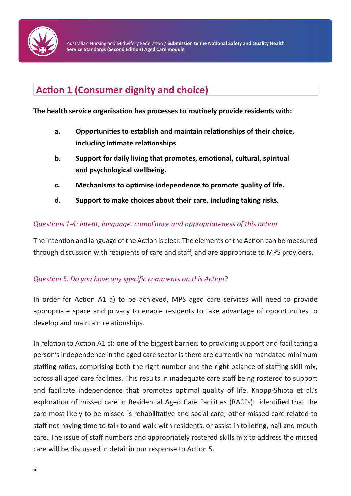

## **Action 1 (Consumer dignity and choice)**

#### **The health service organisation has processes to routinely provide residents with:**

- **a. Opportunities to establish and maintain relationships of their choice, including intimate relationships**
- **b. Support for daily living that promotes, emotional, cultural, spiritual and psychological wellbeing.**
- **c. Mechanisms to optimise independence to promote quality of life.**
- **d. Support to make choices about their care, including taking risks.**

#### *Questions 1-4: intent, language, compliance and appropriateness of this action*

The intention and language of the Action is clear. The elements of the Action can be measured through discussion with recipients of care and staff, and are appropriate to MPS providers.

#### *Question 5. Do you have any specific comments on this Action?*

In order for Action A1 a) to be achieved, MPS aged care services will need to provide appropriate space and privacy to enable residents to take advantage of opportunities to develop and maintain relationships.

In relation to Action A1 c): one of the biggest barriers to providing support and facilitating a person's independence in the aged care sector is there are currently no mandated minimum staffing ratios, comprising both the right number and the right balance of staffing skill mix, across all aged care facilities. This results in inadequate care staff being rostered to support and facilitate independence that promotes optimal quality of life. Knopp-Shiota et al.'s exploration of missed care in Residential Aged Care Facilities (RACFs)<sup>1</sup> identified that the care most likely to be missed is rehabilitative and social care; other missed care related to staff not having time to talk to and walk with residents, or assist in toileting, nail and mouth care. The issue of staff numbers and appropriately rostered skills mix to address the missed care will be discussed in detail in our response to Action 5.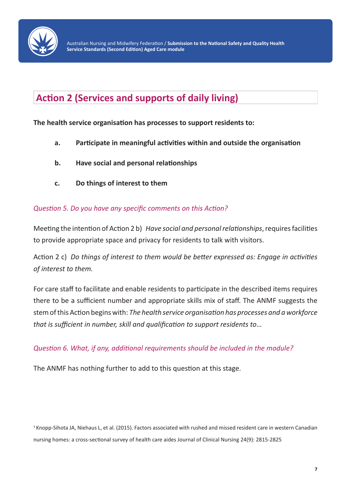

## **Action 2 (Services and supports of daily living)**

**The health service organisation has processes to support residents to:**

- **a. Participate in meaningful activities within and outside the organisation**
- **b. Have social and personal relationships**
- **c. Do things of interest to them**

#### *Question 5. Do you have any specific comments on this Action?*

Meeting the intention of Action 2 b) *Have social and personal relationships*, requires facilities to provide appropriate space and privacy for residents to talk with visitors.

Action 2 c) *Do things of interest to them would be better expressed as: Engage in activities of interest to them.*

For care staff to facilitate and enable residents to participate in the described items requires there to be a sufficient number and appropriate skills mix of staff. The ANMF suggests the stem of this Action begins with: *The health service organisation has processes and a workforce that is sufficient in number, skill and qualification to support residents to*…

*Question 6. What, if any, additional requirements should be included in the module?*

The ANMF has nothing further to add to this question at this stage.

1 Knopp-Sihota JA, Niehaus L, et al. (2015). Factors associated with rushed and missed resident care in western Canadian nursing homes: a cross-sectional survey of health care aides Journal of Clinical Nursing 24(9): 2815-2825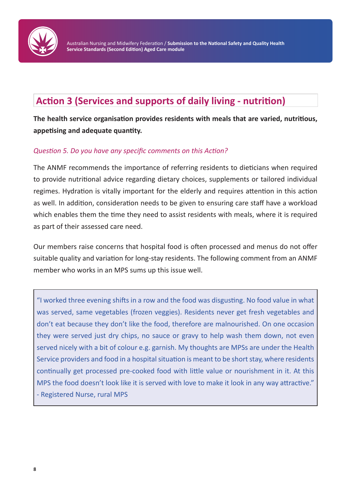

## **Action 3 (Services and supports of daily living - nutrition)**

**The health service organisation provides residents with meals that are varied, nutritious, appetising and adequate quantity.**

#### *Question 5. Do you have any specific comments on this Action?*

The ANMF recommends the importance of referring residents to dieticians when required to provide nutritional advice regarding dietary choices, supplements or tailored individual regimes. Hydration is vitally important for the elderly and requires attention in this action as well. In addition, consideration needs to be given to ensuring care staff have a workload which enables them the time they need to assist residents with meals, where it is required as part of their assessed care need.

Our members raise concerns that hospital food is often processed and menus do not offer suitable quality and variation for long-stay residents. The following comment from an ANMF member who works in an MPS sums up this issue well.

"I worked three evening shifts in a row and the food was disgusting. No food value in what was served, same vegetables (frozen veggies). Residents never get fresh vegetables and don't eat because they don't like the food, therefore are malnourished. On one occasion they were served just dry chips, no sauce or gravy to help wash them down, not even served nicely with a bit of colour e.g. garnish. My thoughts are MPSs are under the Health Service providers and food in a hospital situation is meant to be short stay, where residents continually get processed pre-cooked food with little value or nourishment in it. At this MPS the food doesn't look like it is served with love to make it look in any way attractive." - Registered Nurse, rural MPS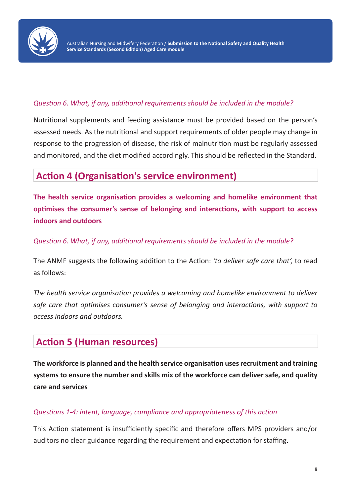

#### *Question 6. What, if any, additional requirements should be included in the module?*

Nutritional supplements and feeding assistance must be provided based on the person's assessed needs. As the nutritional and support requirements of older people may change in response to the progression of disease, the risk of malnutrition must be regularly assessed and monitored, and the diet modified accordingly. This should be reflected in the Standard.

## **Action 4 (Organisation's service environment)**

**The health service organisation provides a welcoming and homelike environment that optimises the consumer's sense of belonging and interactions, with support to access indoors and outdoors**

*Question 6. What, if any, additional requirements should be included in the module?*

The ANMF suggests the following addition to the Action: *'to deliver safe care that',* to read as follows:

*The health service organisation provides a welcoming and homelike environment to deliver safe care that optimises consumer's sense of belonging and interactions, with support to access indoors and outdoors.*

### **Action 5 (Human resources)**

**The workforce is planned and the health service organisation uses recruitment and training systems to ensure the number and skills mix of the workforce can deliver safe, and quality care and services**

#### *Questions 1-4: intent, language, compliance and appropriateness of this action*

This Action statement is insufficiently specific and therefore offers MPS providers and/or auditors no clear guidance regarding the requirement and expectation for staffing.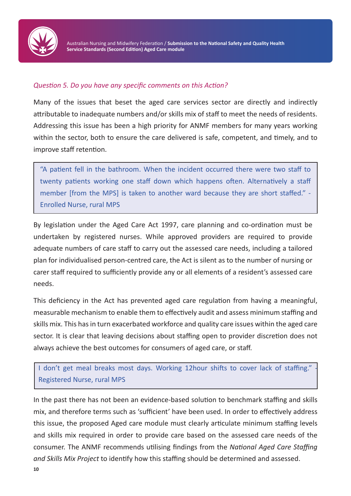

#### *Question 5. Do you have any specific comments on this Action?*

Many of the issues that beset the aged care services sector are directly and indirectly attributable to inadequate numbers and/or skills mix of staff to meet the needs of residents. Addressing this issue has been a high priority for ANMF members for many years working within the sector, both to ensure the care delivered is safe, competent, and timely, and to improve staff retention.

"A patient fell in the bathroom. When the incident occurred there were two staff to twenty patients working one staff down which happens often. Alternatively a staff member [from the MPS] is taken to another ward because they are short staffed." - Enrolled Nurse, rural MPS

By legislation under the Aged Care Act 1997, care planning and co-ordination must be undertaken by registered nurses. While approved providers are required to provide adequate numbers of care staff to carry out the assessed care needs, including a tailored plan for individualised person-centred care, the Act is silent as to the number of nursing or carer staff required to sufficiently provide any or all elements of a resident's assessed care needs.

This deficiency in the Act has prevented aged care regulation from having a meaningful, measurable mechanism to enable them to effectively audit and assess minimum staffing and skills mix. This has in turn exacerbated workforce and quality care issues within the aged care sector. It is clear that leaving decisions about staffing open to provider discretion does not always achieve the best outcomes for consumers of aged care, or staff.

I don't get meal breaks most days. Working 12hour shifts to cover lack of staffing." Registered Nurse, rural MPS

In the past there has not been an evidence-based solution to benchmark staffing and skills mix, and therefore terms such as 'sufficient' have been used. In order to effectively address this issue, the proposed Aged care module must clearly articulate minimum staffing levels and skills mix required in order to provide care based on the assessed care needs of the consumer. The ANMF recommends utilising findings from the *National Aged Care Staffing and Skills Mix Project* to identify how this staffing should be determined and assessed.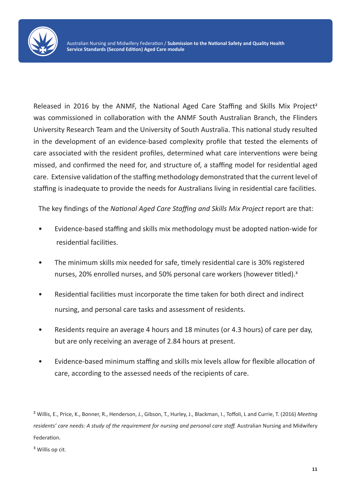

Released in 2016 by the ANMF, the National Aged Care Staffing and Skills Mix Project<sup>2</sup> was commissioned in collaboration with the ANMF South Australian Branch, the Flinders University Research Team and the University of South Australia. This national study resulted in the development of an evidence-based complexity profile that tested the elements of care associated with the resident profiles, determined what care interventions were being missed, and confirmed the need for, and structure of, a staffing model for residential aged care. Extensive validation of the staffing methodology demonstrated that the current level of staffing is inadequate to provide the needs for Australians living in residential care facilities.

The key findings of the *National Aged Care Staffing and Skills Mix Project* report are that:

- Evidence-based staffing and skills mix methodology must be adopted nation-wide for residential facilities.
- The minimum skills mix needed for safe, timely residential care is 30% registered nurses, 20% enrolled nurses, and 50% personal care workers (however titled).<sup>3</sup>
- Residential facilities must incorporate the time taken for both direct and indirect nursing, and personal care tasks and assessment of residents.
- Residents require an average 4 hours and 18 minutes (or 4.3 hours) of care per day, but are only receiving an average of 2.84 hours at present.
- Evidence-based minimum staffing and skills mix levels allow for flexible allocation of care, according to the assessed needs of the recipients of care.

² Willis, E., Price, K., Bonner, R., Henderson, J., Gibson, T., Hurley, J., Blackman, I., Toffoli, L and Currie, T. (2016) *Meeting residents' care needs: A study of the requirement for nursing and personal care staff.* Australian Nursing and Midwifery Federation.

<sup>3</sup> Willis op cit.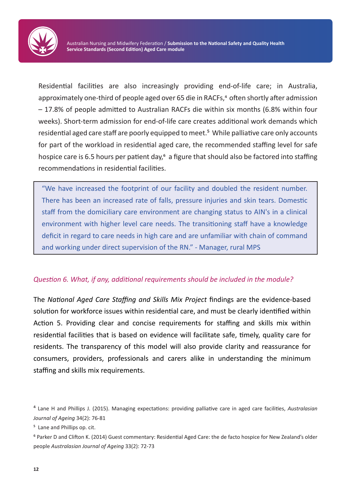

Residential facilities are also increasingly providing end-of-life care; in Australia, approximately one-third of people aged over 65 die in RACFs,<sup>4</sup> often shortly after admission – 17.8% of people admitted to Australian RACFs die within six months (6.8% within four weeks). Short-term admission for end-of-life care creates additional work demands which residential aged care staff are poorly equipped to meet.<sup>5</sup> While palliative care only accounts for part of the workload in residential aged care, the recommended staffing level for safe hospice care is 6.5 hours per patient day,<sup>6</sup> a figure that should also be factored into staffing recommendations in residential facilities.

"We have increased the footprint of our facility and doubled the resident number. There has been an increased rate of falls, pressure injuries and skin tears. Domestic staff from the domiciliary care environment are changing status to AIN's in a clinical environment with higher level care needs. The transitioning staff have a knowledge deficit in regard to care needs in high care and are unfamiliar with chain of command and working under direct supervision of the RN." - Manager, rural MPS

#### *Question 6. What, if any, additional requirements should be included in the module?*

The *National Aged Care Staffing and Skills Mix Project* findings are the evidence-based solution for workforce issues within residential care, and must be clearly identified within Action 5. Providing clear and concise requirements for staffing and skills mix within residential facilities that is based on evidence will facilitate safe, timely, quality care for residents. The transparency of this model will also provide clarity and reassurance for consumers, providers, professionals and carers alike in understanding the minimum staffing and skills mix requirements.

⁴ Lane H and Phillips J. (2015). Managing expectations: providing palliative care in aged care facilities, *Australasian Journal of Ageing* 34(2): 76-81

<sup>&</sup>lt;sup>5</sup> Lane and Phillips op. cit.

⁶ Parker D and Clifton K. (2014) Guest commentary: Residential Aged Care: the de facto hospice for New Zealand's older people *Australasian Journal of Ageing* 33(2): 72-73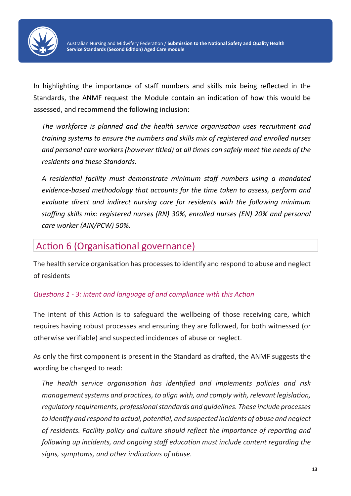

In highlighting the importance of staff numbers and skills mix being reflected in the Standards, the ANMF request the Module contain an indication of how this would be assessed, and recommend the following inclusion:

*The workforce is planned and the health service organisation uses recruitment and training systems to ensure the numbers and skills mix of registered and enrolled nurses and personal care workers (however titled) at all times can safely meet the needs of the residents and these Standards.*

*A residential facility must demonstrate minimum staff numbers using a mandated evidence-based methodology that accounts for the time taken to assess, perform and evaluate direct and indirect nursing care for residents with the following minimum staffing skills mix: registered nurses (RN) 30%, enrolled nurses (EN) 20% and personal care worker (AIN/PCW) 50%.*

## Action 6 (Organisational governance)

The health service organisation has processes to identify and respond to abuse and neglect of residents

#### *Questions 1 - 3: intent and language of and compliance with this Action*

The intent of this Action is to safeguard the wellbeing of those receiving care, which requires having robust processes and ensuring they are followed, for both witnessed (or otherwise verifiable) and suspected incidences of abuse or neglect.

As only the first component is present in the Standard as drafted, the ANMF suggests the wording be changed to read:

*The health service organisation has identified and implements policies and risk management systems and practices, to align with, and comply with, relevant legislation, regulatory requirements, professional standards and guidelines. These include processes to identify and respond to actual, potential, and suspected incidents of abuse and neglect of residents. Facility policy and culture should reflect the importance of reporting and following up incidents, and ongoing staff education must include content regarding the signs, symptoms, and other indications of abuse.*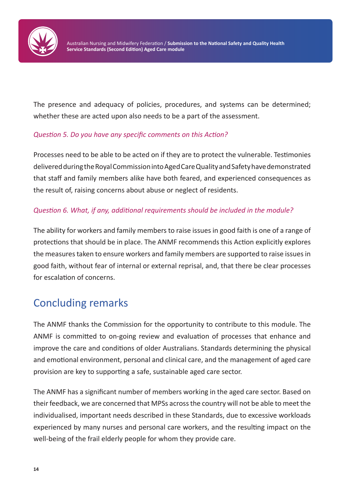

The presence and adequacy of policies, procedures, and systems can be determined; whether these are acted upon also needs to be a part of the assessment.

#### *Question 5. Do you have any specific comments on this Action?*

Processes need to be able to be acted on if they are to protect the vulnerable. Testimonies delivered during the Royal Commission into Aged Care Quality and Safety have demonstrated that staff and family members alike have both feared, and experienced consequences as the result of, raising concerns about abuse or neglect of residents.

#### *Question 6. What, if any, additional requirements should be included in the module?*

The ability for workers and family members to raise issues in good faith is one of a range of protections that should be in place. The ANMF recommends this Action explicitly explores the measures taken to ensure workers and family members are supported to raise issues in good faith, without fear of internal or external reprisal, and, that there be clear processes for escalation of concerns.

## Concluding remarks

The ANMF thanks the Commission for the opportunity to contribute to this module. The ANMF is committed to on-going review and evaluation of processes that enhance and improve the care and conditions of older Australians. Standards determining the physical and emotional environment, personal and clinical care, and the management of aged care provision are key to supporting a safe, sustainable aged care sector.

The ANMF has a significant number of members working in the aged care sector. Based on their feedback, we are concerned that MPSs across the country will not be able to meet the individualised, important needs described in these Standards, due to excessive workloads experienced by many nurses and personal care workers, and the resulting impact on the well-being of the frail elderly people for whom they provide care.